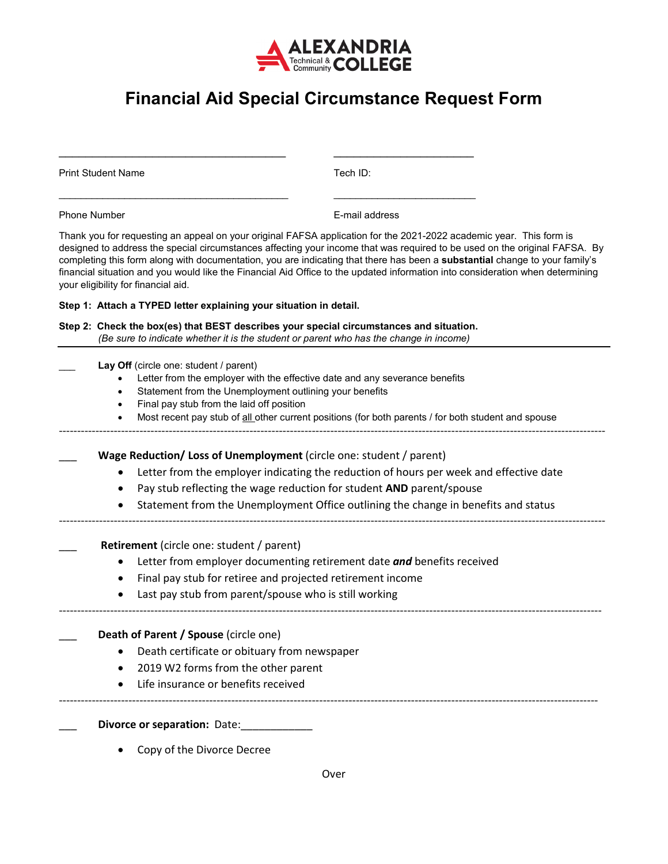

## **Financial Aid Special Circumstance Request Form**

\_\_\_\_\_\_\_\_\_\_\_\_\_\_\_\_\_\_\_\_\_\_\_\_\_\_\_\_\_\_\_\_\_\_ \_\_\_\_\_\_\_\_\_\_\_\_\_\_\_\_\_\_\_\_\_

Print Student Name Tech ID:

| <b>Phone Number</b>                                                |                                                                                                                                                                                                                                                                                                                                                                                                                                                                                                                                                           | E-mail address                                                                                                                                                                                                                                |  |  |  |  |  |
|--------------------------------------------------------------------|-----------------------------------------------------------------------------------------------------------------------------------------------------------------------------------------------------------------------------------------------------------------------------------------------------------------------------------------------------------------------------------------------------------------------------------------------------------------------------------------------------------------------------------------------------------|-----------------------------------------------------------------------------------------------------------------------------------------------------------------------------------------------------------------------------------------------|--|--|--|--|--|
|                                                                    | Thank you for requesting an appeal on your original FAFSA application for the 2021-2022 academic year. This form is<br>designed to address the special circumstances affecting your income that was required to be used on the original FAFSA. By<br>completing this form along with documentation, you are indicating that there has been a substantial change to your family's<br>financial situation and you would like the Financial Aid Office to the updated information into consideration when determining<br>your eligibility for financial aid. |                                                                                                                                                                                                                                               |  |  |  |  |  |
| Step 1: Attach a TYPED letter explaining your situation in detail. |                                                                                                                                                                                                                                                                                                                                                                                                                                                                                                                                                           |                                                                                                                                                                                                                                               |  |  |  |  |  |
|                                                                    | Step 2: Check the box(es) that BEST describes your special circumstances and situation.<br>(Be sure to indicate whether it is the student or parent who has the change in income)                                                                                                                                                                                                                                                                                                                                                                         |                                                                                                                                                                                                                                               |  |  |  |  |  |
|                                                                    | Lay Off (circle one: student / parent)<br>Final pay stub from the laid off position                                                                                                                                                                                                                                                                                                                                                                                                                                                                       | Letter from the employer with the effective date and any severance benefits<br>Statement from the Unemployment outlining your benefits<br>Most recent pay stub of all other current positions (for both parents / for both student and spouse |  |  |  |  |  |
|                                                                    |                                                                                                                                                                                                                                                                                                                                                                                                                                                                                                                                                           | Wage Reduction/ Loss of Unemployment (circle one: student / parent)                                                                                                                                                                           |  |  |  |  |  |
|                                                                    |                                                                                                                                                                                                                                                                                                                                                                                                                                                                                                                                                           | Letter from the employer indicating the reduction of hours per week and effective date                                                                                                                                                        |  |  |  |  |  |
|                                                                    |                                                                                                                                                                                                                                                                                                                                                                                                                                                                                                                                                           | Pay stub reflecting the wage reduction for student AND parent/spouse                                                                                                                                                                          |  |  |  |  |  |
|                                                                    |                                                                                                                                                                                                                                                                                                                                                                                                                                                                                                                                                           | Statement from the Unemployment Office outlining the change in benefits and status                                                                                                                                                            |  |  |  |  |  |
|                                                                    | Retirement (circle one: student / parent)                                                                                                                                                                                                                                                                                                                                                                                                                                                                                                                 |                                                                                                                                                                                                                                               |  |  |  |  |  |
|                                                                    |                                                                                                                                                                                                                                                                                                                                                                                                                                                                                                                                                           | Letter from employer documenting retirement date and benefits received                                                                                                                                                                        |  |  |  |  |  |
|                                                                    |                                                                                                                                                                                                                                                                                                                                                                                                                                                                                                                                                           | Final pay stub for retiree and projected retirement income                                                                                                                                                                                    |  |  |  |  |  |
|                                                                    |                                                                                                                                                                                                                                                                                                                                                                                                                                                                                                                                                           | Last pay stub from parent/spouse who is still working                                                                                                                                                                                         |  |  |  |  |  |
|                                                                    | Death of Parent / Spouse (circle one)                                                                                                                                                                                                                                                                                                                                                                                                                                                                                                                     |                                                                                                                                                                                                                                               |  |  |  |  |  |
|                                                                    | Death certificate or obituary from newspaper                                                                                                                                                                                                                                                                                                                                                                                                                                                                                                              |                                                                                                                                                                                                                                               |  |  |  |  |  |
|                                                                    | 2019 W2 forms from the other parent                                                                                                                                                                                                                                                                                                                                                                                                                                                                                                                       |                                                                                                                                                                                                                                               |  |  |  |  |  |
|                                                                    | Life insurance or benefits received                                                                                                                                                                                                                                                                                                                                                                                                                                                                                                                       |                                                                                                                                                                                                                                               |  |  |  |  |  |
|                                                                    | Divorce or separation: Date:                                                                                                                                                                                                                                                                                                                                                                                                                                                                                                                              |                                                                                                                                                                                                                                               |  |  |  |  |  |
|                                                                    | Copy of the Divorce Decree                                                                                                                                                                                                                                                                                                                                                                                                                                                                                                                                |                                                                                                                                                                                                                                               |  |  |  |  |  |
|                                                                    | ∩war                                                                                                                                                                                                                                                                                                                                                                                                                                                                                                                                                      |                                                                                                                                                                                                                                               |  |  |  |  |  |